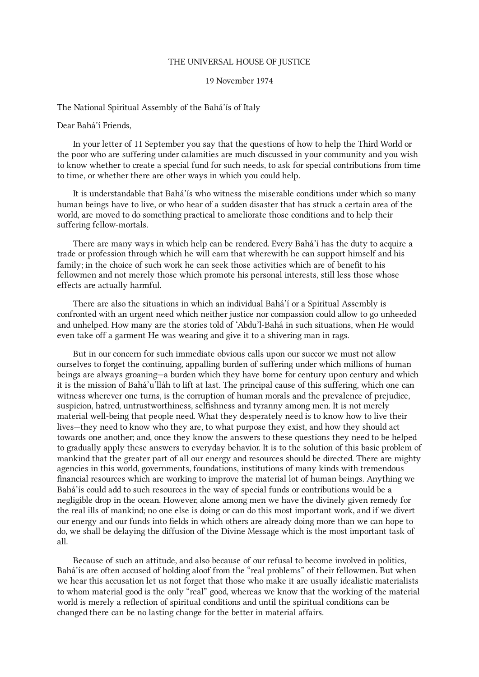## THE UNIVERSAL HOUSE OF JUSTICE

## 19 November 1974

The National Spiritual Assembly of the Bahá'ís of Italy

Dear Bahá'í Friends,

In your letter of 11 September you say that the questions of how to help the Third World or the poor who are suffering under calamities are much discussed in your community and you wish to know whether to create a special fund for such needs, to ask for special contributions from time to time, or whether there are other ways in which you could help.

It is understandable that Bahá'ís who witness the miserable conditions under which so many human beings have to live, or who hear of a sudden disaster that has struck a certain area of the world, are moved to do something practical to ameliorate those conditions and to help their suffering fellow-mortals.

There are many ways in which help can be rendered. Every Bahá'í has the duty to acquire a trade or profession through which he will earn that wherewith he can support himself and his family; in the choice of such work he can seek those activities which are of benefit to his fellowmen and not merely those which promote his personal interests, still less those whose effects are actually harmful.

There are also the situations in which an individual Bahá'í or a Spiritual Assembly is confronted with an urgent need which neither justice nor compassion could allow to go unheeded and unhelped. How many are the stories told of 'Abdu'l‑Bahá in such situations, when He would even take off a garment He was wearing and give it to a shivering man in rags.

But in our concern for such immediate obvious calls upon our succor we must not allow ourselves to forget the continuing, appalling burden of suffering under which millions of human beings are always groaning—a burden which they have borne for century upon century and which it is the mission of Bahá'u'lláh to lift at last. The principal cause of this suffering, which one can witness wherever one turns, is the corruption of human morals and the prevalence of prejudice, suspicion, hatred, untrustworthiness, selfishness and tyranny among men. It is not merely material well-being that people need. What they desperately need is to know how to live their lives—they need to know who they are, to what purpose they exist, and how they should act towards one another; and, once they know the answers to these questions they need to be helped to gradually apply these answers to everyday behavior. It is to the solution of this basic problem of mankind that the greater part of all our energy and resources should be directed. There are mighty agencies in this world, governments, foundations, institutions of many kinds with tremendous financial resources which are working to improve the material lot of human beings. Anything we Bahá'ís could add to such resources in the way of special funds or contributions would be a negligible drop in the ocean. However, alone among men we have the divinely given remedy for the real ills of mankind; no one else is doing or can do this most important work, and if we divert our energy and our funds into fields in which others are already doing more than we can hope to do, we shall be delaying the diffusion of the Divine Message which is the most important task of all.

Because of such an attitude, and also because of our refusal to become involved in politics, Bahá'ís are often accused of holding aloof from the "real problems" of their fellowmen. But when we hear this accusation let us not forget that those who make it are usually idealistic materialists to whom material good is the only "real" good, whereas we know that the working of the material world is merely a reflection of spiritual conditions and until the spiritual conditions can be changed there can be no lasting change for the better in material affairs.